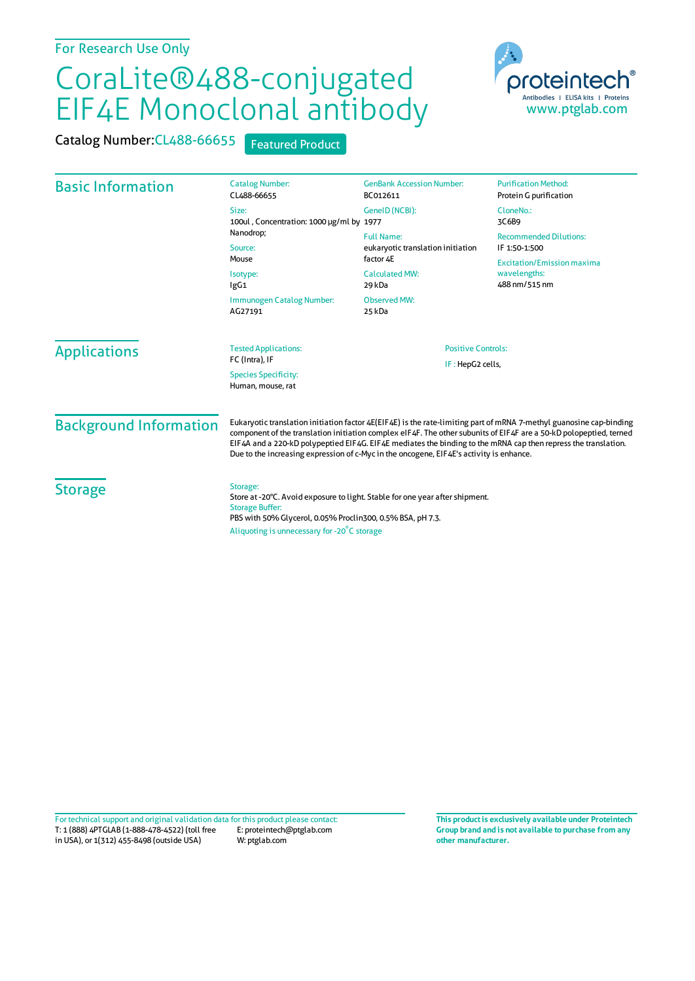## CoraLite®488-conjugated EIF4E Monoclonal antibody

Catalog Number: CL488-66655 Featured Product



| <b>Basic Information</b>      | <b>Catalog Number:</b><br>CL488-66655                                                                                                                                                                                                                                                                                                                                                                                                                  | <b>GenBank Accession Number:</b><br>BC012611                                                                                            | <b>Purification Method:</b><br>Protein G purification              |                     |                                                  |                                               |  |
|-------------------------------|--------------------------------------------------------------------------------------------------------------------------------------------------------------------------------------------------------------------------------------------------------------------------------------------------------------------------------------------------------------------------------------------------------------------------------------------------------|-----------------------------------------------------------------------------------------------------------------------------------------|--------------------------------------------------------------------|---------------------|--------------------------------------------------|-----------------------------------------------|--|
|                               | Size:<br>100ul, Concentration: 1000 µg/ml by 1977<br>Nanodrop;<br>Source:<br>Mouse<br>Isotype:<br>lgG1<br>Immunogen Catalog Number:<br>AG27191                                                                                                                                                                                                                                                                                                         | GeneID (NCBI):                                                                                                                          | CloneNo.:<br>3C6B9                                                 |                     |                                                  |                                               |  |
|                               |                                                                                                                                                                                                                                                                                                                                                                                                                                                        | <b>Full Name:</b><br>eukaryotic translation initiation<br>factor 4E<br><b>Calculated MW:</b><br>29 kDa<br><b>Observed MW:</b><br>25 kDa | <b>Recommended Dilutions:</b><br>IF 1:50-1:500                     |                     |                                                  |                                               |  |
|                               |                                                                                                                                                                                                                                                                                                                                                                                                                                                        |                                                                                                                                         | <b>Excitation/Emission maxima</b><br>wavelengths:<br>488 nm/515 nm |                     |                                                  |                                               |  |
|                               |                                                                                                                                                                                                                                                                                                                                                                                                                                                        |                                                                                                                                         |                                                                    | <b>Applications</b> | <b>Tested Applications:</b><br>FC (Intra), IF    | <b>Positive Controls:</b><br>IF: HepG2 cells, |  |
|                               |                                                                                                                                                                                                                                                                                                                                                                                                                                                        |                                                                                                                                         |                                                                    |                     | <b>Species Specificity:</b><br>Human, mouse, rat |                                               |  |
| <b>Background Information</b> | Eukaryotic translation initiation factor 4E(EIF4E) is the rate-limiting part of mRNA 7-methyl guanosine cap-binding<br>component of the translation initiation complex eIF4F. The other subunits of EIF4F are a 50-kD polopeptied, terned<br>EIF4A and a 220-kD polypeptied EIF4G. EIF4E mediates the binding to the mRNA cap then repress the translation.<br>Due to the increasing expression of c-Myc in the oncogene, EIF4E's activity is enhance. |                                                                                                                                         |                                                                    |                     |                                                  |                                               |  |
| <b>Storage</b>                | Storage:<br>Store at -20°C. Avoid exposure to light. Stable for one year after shipment.<br><b>Storage Buffer:</b><br>PBS with 50% Glycerol, 0.05% Proclin300, 0.5% BSA, pH 7.3.<br>Aliquoting is unnecessary for -20 C storage                                                                                                                                                                                                                        |                                                                                                                                         |                                                                    |                     |                                                  |                                               |  |

T: 1 (888) 4PTGLAB (1-888-478-4522) (toll free in USA), or 1(312) 455-8498 (outside USA) E: proteintech@ptglab.com W: ptglab.com Fortechnical support and original validation data forthis product please contact: **This productis exclusively available under Proteintech**

**Group brand and is not available to purchase from any other manufacturer.**